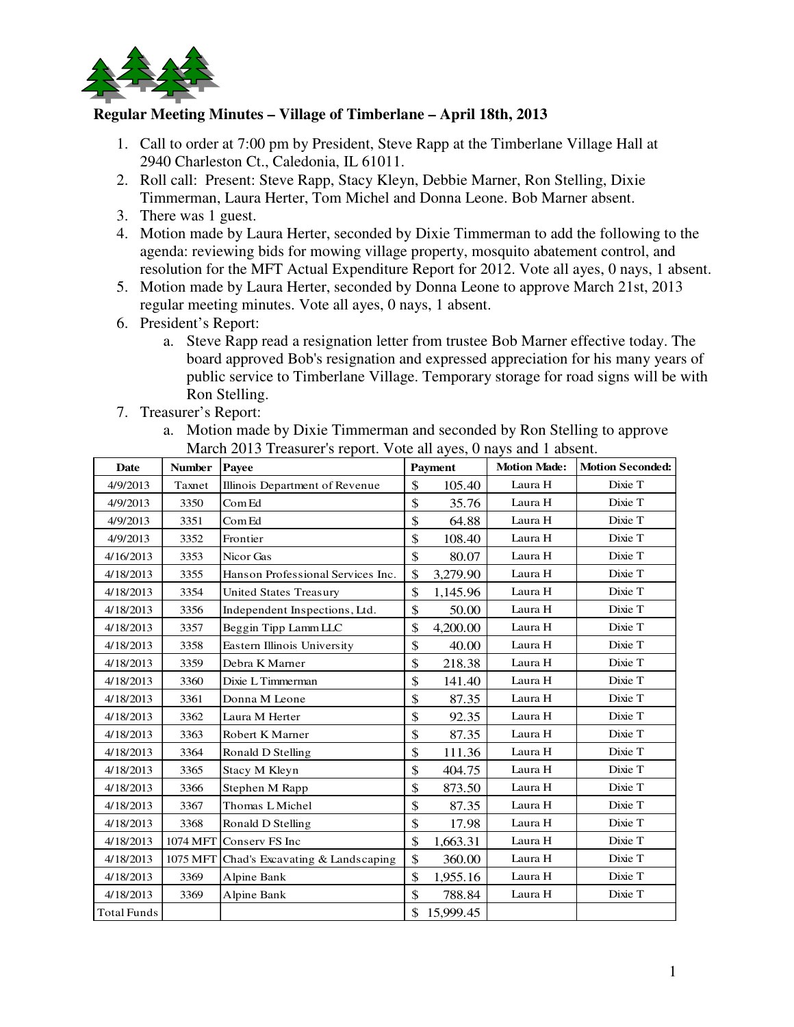

## **Regular Meeting Minutes – Village of Timberlane – April 18th, 2013**

- 1. Call to order at 7:00 pm by President, Steve Rapp at the Timberlane Village Hall at 2940 Charleston Ct., Caledonia, IL 61011.
- 2. Roll call: Present: Steve Rapp, Stacy Kleyn, Debbie Marner, Ron Stelling, Dixie Timmerman, Laura Herter, Tom Michel and Donna Leone. Bob Marner absent.
- 3. There was 1 guest.
- 4. Motion made by Laura Herter, seconded by Dixie Timmerman to add the following to the agenda: reviewing bids for mowing village property, mosquito abatement control, and resolution for the MFT Actual Expenditure Report for 2012. Vote all ayes, 0 nays, 1 absent.
- 5. Motion made by Laura Herter, seconded by Donna Leone to approve March 21st, 2013 regular meeting minutes. Vote all ayes, 0 nays, 1 absent.
- 6. President's Report:
	- a. Steve Rapp read a resignation letter from trustee Bob Marner effective today. The board approved Bob's resignation and expressed appreciation for his many years of public service to Timberlane Village. Temporary storage for road signs will be with Ron Stelling.
- 7. Treasurer's Report:
	- a. Motion made by Dixie Timmerman and seconded by Ron Stelling to approve March 2013 Treasurer's report. Vote all ayes, 0 nays and 1 absent.

| <b>Date</b> | <b>Number</b> | Payee                             | Payment            |           | <b>Motion Made:</b> | <b>Motion Seconded:</b> |
|-------------|---------------|-----------------------------------|--------------------|-----------|---------------------|-------------------------|
| 4/9/2013    | Taxnet        | Illinois Department of Revenue    | \$                 | 105.40    | Laura H             | Dixie T                 |
| 4/9/2013    | 3350          | Com Ed                            | \$                 | 35.76     | Laura H             | Dixie T                 |
| 4/9/2013    | 3351          | Com Ed                            | \$                 | 64.88     | Laura H             | Dixie T                 |
| 4/9/2013    | 3352          | Frontier                          | \$                 | 108.40    | Laura H             | Dixie T                 |
| 4/16/2013   | 3353          | Nicor Gas                         | $\mathsf{\$}$      | 80.07     | Laura H             | Dixie T                 |
| 4/18/2013   | 3355          | Hanson Professional Services Inc. | \$                 | 3,279.90  | Laura H             | Dixie T                 |
| 4/18/2013   | 3354          | <b>United States Treasury</b>     | \$                 | 1,145.96  | Laura H             | Dixie T                 |
| 4/18/2013   | 3356          | Independent Inspections, Ltd.     | \$                 | 50.00     | Laura H             | Dixie T                 |
| 4/18/2013   | 3357          | Beggin Tipp Lamm LLC              | \$                 | 4,200.00  | Laura H             | Dixie T                 |
| 4/18/2013   | 3358          | Eastern Illinois University       | \$                 | 40.00     | Laura H             | Dixie T                 |
| 4/18/2013   | 3359          | Debra K Marner                    | \$                 | 218.38    | Laura H             | Dixie T                 |
| 4/18/2013   | 3360          | Dixie L Timmerman                 | \$                 | 141.40    | Laura H             | Dixie T                 |
| 4/18/2013   | 3361          | Donna M Leone                     | \$                 | 87.35     | Laura H             | Dixie T                 |
| 4/18/2013   | 3362          | Laura M Herter                    | \$                 | 92.35     | Laura H             | Dixie T                 |
| 4/18/2013   | 3363          | Robert K Marner                   | \$                 | 87.35     | Laura H             | Dixie T                 |
| 4/18/2013   | 3364          | Ronald D Stelling                 | \$                 | 111.36    | Laura H             | Dixie T                 |
| 4/18/2013   | 3365          | Stacy M Kleyn                     | \$                 | 404.75    | Laura H             | Dixie T                 |
| 4/18/2013   | 3366          | Stephen M Rapp                    | \$                 | 873.50    | Laura H             | Dixie T                 |
| 4/18/2013   | 3367          | Thomas L Michel                   | \$                 | 87.35     | Laura H             | Dixie T                 |
| 4/18/2013   | 3368          | Ronald D Stelling                 | \$                 | 17.98     | Laura H             | Dixie T                 |
| 4/18/2013   | 1074 MFT      | Conserv FS Inc                    | $\mathbb{S}$       | 1,663.31  | Laura H             | Dixie T                 |
| 4/18/2013   | 1075 MFT      | Chad's Excavating & Landscaping   | $\mathbf{\hat{S}}$ | 360.00    | Laura H             | Dixie T                 |
| 4/18/2013   | 3369          | Alpine Bank                       | \$                 | 1,955.16  | Laura H             | Dixie T                 |
| 4/18/2013   | 3369          | Alpine Bank                       | \$                 | 788.84    | Laura H             | Dixie T                 |
| Total Funds |               |                                   | \$                 | 15,999.45 |                     |                         |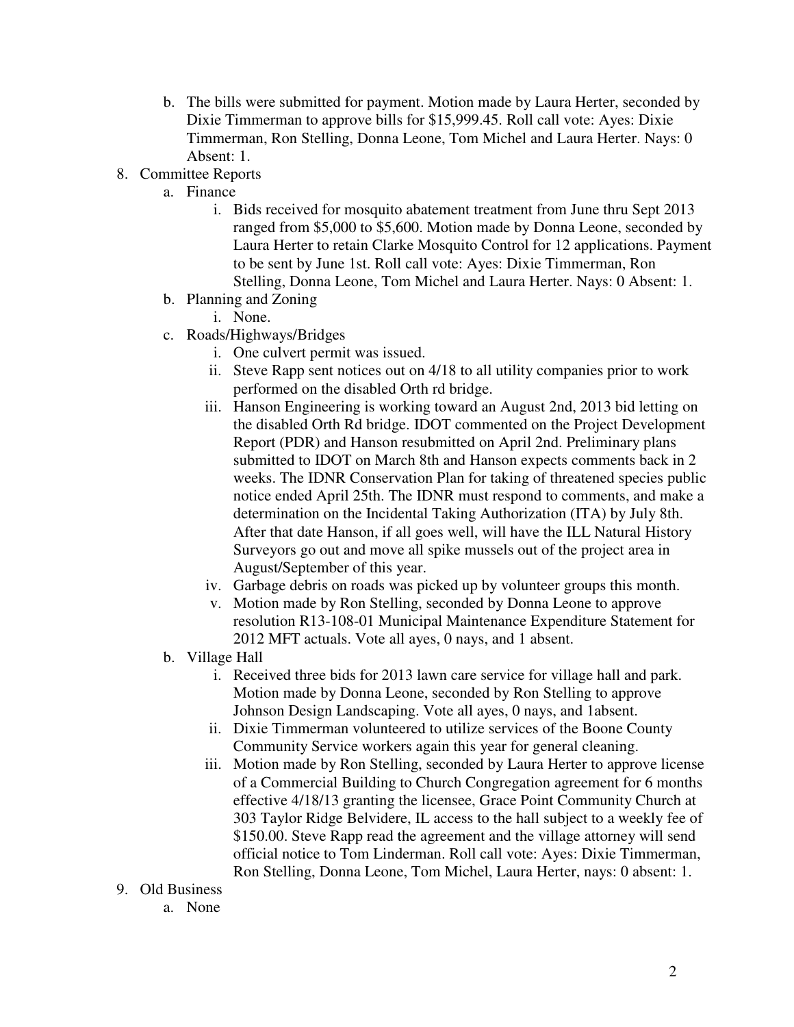- b. The bills were submitted for payment. Motion made by Laura Herter, seconded by Dixie Timmerman to approve bills for \$15,999.45. Roll call vote: Ayes: Dixie Timmerman, Ron Stelling, Donna Leone, Tom Michel and Laura Herter. Nays: 0 Absent: 1.
- 8. Committee Reports
	- a. Finance
		- i. Bids received for mosquito abatement treatment from June thru Sept 2013 ranged from \$5,000 to \$5,600. Motion made by Donna Leone, seconded by Laura Herter to retain Clarke Mosquito Control for 12 applications. Payment to be sent by June 1st. Roll call vote: Ayes: Dixie Timmerman, Ron Stelling, Donna Leone, Tom Michel and Laura Herter. Nays: 0 Absent: 1.
	- b. Planning and Zoning
		- i. None.
	- c. Roads/Highways/Bridges
		- i. One culvert permit was issued.
		- ii. Steve Rapp sent notices out on 4/18 to all utility companies prior to work performed on the disabled Orth rd bridge.
		- iii. Hanson Engineering is working toward an August 2nd, 2013 bid letting on the disabled Orth Rd bridge. IDOT commented on the Project Development Report (PDR) and Hanson resubmitted on April 2nd. Preliminary plans submitted to IDOT on March 8th and Hanson expects comments back in 2 weeks. The IDNR Conservation Plan for taking of threatened species public notice ended April 25th. The IDNR must respond to comments, and make a determination on the Incidental Taking Authorization (ITA) by July 8th. After that date Hanson, if all goes well, will have the ILL Natural History Surveyors go out and move all spike mussels out of the project area in August/September of this year.
		- iv. Garbage debris on roads was picked up by volunteer groups this month.
		- v. Motion made by Ron Stelling, seconded by Donna Leone to approve resolution R13-108-01 Municipal Maintenance Expenditure Statement for 2012 MFT actuals. Vote all ayes, 0 nays, and 1 absent.
	- b. Village Hall
		- i. Received three bids for 2013 lawn care service for village hall and park. Motion made by Donna Leone, seconded by Ron Stelling to approve Johnson Design Landscaping. Vote all ayes, 0 nays, and 1absent.
		- ii. Dixie Timmerman volunteered to utilize services of the Boone County Community Service workers again this year for general cleaning.
		- iii. Motion made by Ron Stelling, seconded by Laura Herter to approve license of a Commercial Building to Church Congregation agreement for 6 months effective 4/18/13 granting the licensee, Grace Point Community Church at 303 Taylor Ridge Belvidere, IL access to the hall subject to a weekly fee of \$150.00. Steve Rapp read the agreement and the village attorney will send official notice to Tom Linderman. Roll call vote: Ayes: Dixie Timmerman, Ron Stelling, Donna Leone, Tom Michel, Laura Herter, nays: 0 absent: 1.
- 9. Old Business
	- a. None